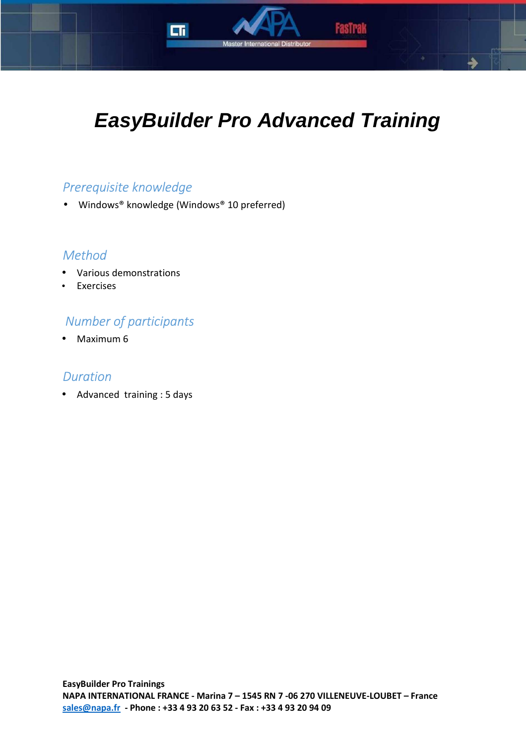

Master International Distributo

Fastral

# *Prerequisite knowledge*

• Windows® knowledge (Windows® 10 preferred)

пr

## *Method*

- Various demonstrations
- **Exercises**

# *Number of participants*

• Maximum 6

### *Duration*

• Advanced training : 5 days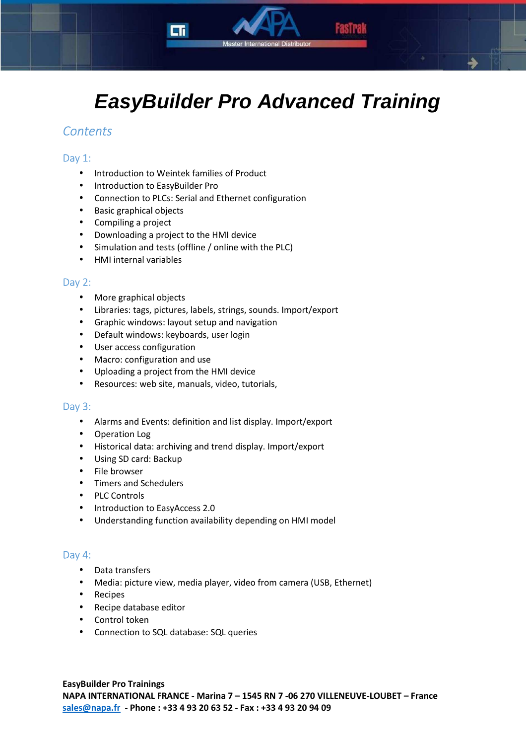

# **EasyBuilder Pro Advanced Training**

## *Contents*

#### Day 1:

- Introduction to Weintek families of Product
- Introduction to EasyBuilder Pro
- Connection to PLCs: Serial and Ethernet configuration
- Basic graphical objects
- Compiling a project
- Downloading a project to the HMI device
- Simulation and tests (offline / online with the PLC)
- HMI internal variables

#### Day 2:

- More graphical objects
- Libraries: tags, pictures, labels, strings, sounds. Import/export
- Graphic windows: layout setup and navigation
- Default windows: keyboards, user login
- User access configuration
- Macro: configuration and use
- Uploading a project from the HMI device
- Resources: web site, manuals, video, tutorials,

#### Day 3:

- Alarms and Events: definition and list display. Import/export
- Operation Log
- Historical data: archiving and trend display. Import/export
- Using SD card: Backup
- File browser
- Timers and Schedulers
- PLC Controls
- Introduction to EasyAccess 2.0
- Understanding function availability depending on HMI model

#### Day 4:

- Data transfers
- Media: picture view, media player, video from camera (USB, Ethernet)
- Recipes
- Recipe database editor
- Control token
- Connection to SQL database: SQL queries